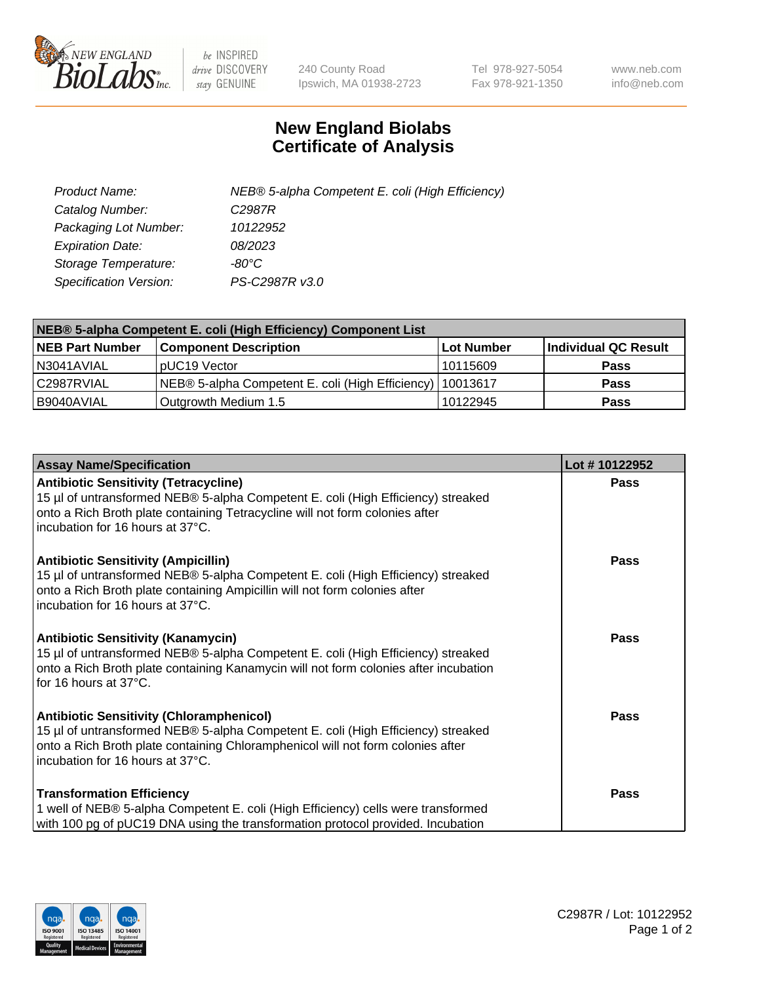

 $be$  INSPIRED drive DISCOVERY stay GENUINE

240 County Road Ipswich, MA 01938-2723 Tel 978-927-5054 Fax 978-921-1350 www.neb.com info@neb.com

## **New England Biolabs Certificate of Analysis**

| Product Name:                 | NEB® 5-alpha Competent E. coli (High Efficiency) |
|-------------------------------|--------------------------------------------------|
| Catalog Number:               | C <sub>2987</sub> R                              |
| Packaging Lot Number:         | 10122952                                         |
| <b>Expiration Date:</b>       | 08/2023                                          |
| Storage Temperature:          | -80°C                                            |
| <b>Specification Version:</b> | PS-C2987R v3.0                                   |

| NEB® 5-alpha Competent E. coli (High Efficiency) Component List |                                                             |            |                      |  |
|-----------------------------------------------------------------|-------------------------------------------------------------|------------|----------------------|--|
| <b>NEB Part Number</b>                                          | <b>Component Description</b>                                | Lot Number | Individual QC Result |  |
| N3041AVIAL                                                      | pUC19 Vector                                                | 10115609   | <b>Pass</b>          |  |
| C2987RVIAL                                                      | NEB® 5-alpha Competent E. coli (High Efficiency)   10013617 |            | <b>Pass</b>          |  |
| B9040AVIAL                                                      | Outgrowth Medium 1.5                                        | 10122945   | <b>Pass</b>          |  |

| <b>Assay Name/Specification</b>                                                                                                                                                                                                                            | Lot #10122952 |
|------------------------------------------------------------------------------------------------------------------------------------------------------------------------------------------------------------------------------------------------------------|---------------|
| <b>Antibiotic Sensitivity (Tetracycline)</b><br>15 µl of untransformed NEB® 5-alpha Competent E. coli (High Efficiency) streaked<br>onto a Rich Broth plate containing Tetracycline will not form colonies after<br>incubation for 16 hours at 37°C.       | <b>Pass</b>   |
| <b>Antibiotic Sensitivity (Ampicillin)</b><br>15 µl of untransformed NEB® 5-alpha Competent E. coli (High Efficiency) streaked<br>onto a Rich Broth plate containing Ampicillin will not form colonies after<br>incubation for 16 hours at 37°C.           | Pass          |
| <b>Antibiotic Sensitivity (Kanamycin)</b><br>15 µl of untransformed NEB® 5-alpha Competent E. coli (High Efficiency) streaked<br>onto a Rich Broth plate containing Kanamycin will not form colonies after incubation<br>for 16 hours at 37°C.             | <b>Pass</b>   |
| <b>Antibiotic Sensitivity (Chloramphenicol)</b><br>15 µl of untransformed NEB® 5-alpha Competent E. coli (High Efficiency) streaked<br>onto a Rich Broth plate containing Chloramphenicol will not form colonies after<br>incubation for 16 hours at 37°C. | <b>Pass</b>   |
| <b>Transformation Efficiency</b><br>1 well of NEB® 5-alpha Competent E. coli (High Efficiency) cells were transformed<br>with 100 pg of pUC19 DNA using the transformation protocol provided. Incubation                                                   | Pass          |